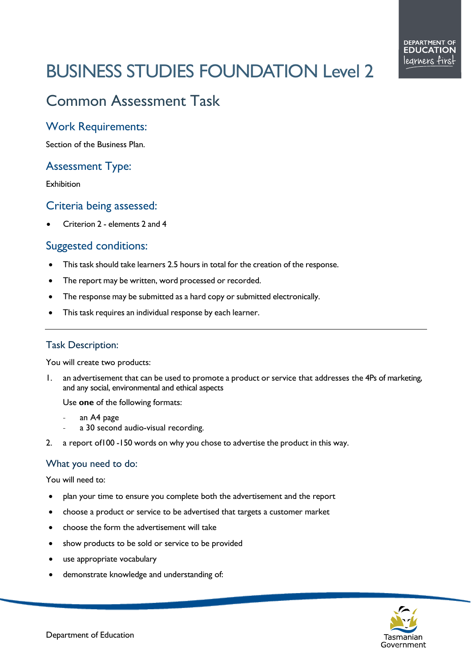# BUSINESS STUDIES FOUNDATION Level 2

# Common Assessment Task

### Work Requirements:

Section of the Business Plan.

## Assessment Type:

Exhibition

#### Criteria being assessed:

• Criterion 2 - elements 2 and 4

#### Suggested conditions:

- This task should take learners 2.5 hours in total for the creation of the response.
- The report may be written, word processed or recorded.
- The response may be submitted as a hard copy or submitted electronically.
- This task requires an individual response by each learner.

#### Task Description:

You will create two products:

1. an advertisement that can be used to promote a product or service that addresses the 4Ps of marketing, and any social, environmental and ethical aspects

Use **one** of the following formats:

- an A4 page
- a 30 second audio-visual recording.
- 2. a report of100 -150 words on why you chose to advertise the product in this way.

#### What you need to do:

You will need to:

- plan your time to ensure you complete both the advertisement and the report
- choose a product or service to be advertised that targets a customer market
- choose the form the advertisement will take
- show products to be sold or service to be provided
- use appropriate vocabulary
- demonstrate knowledge and understanding of: